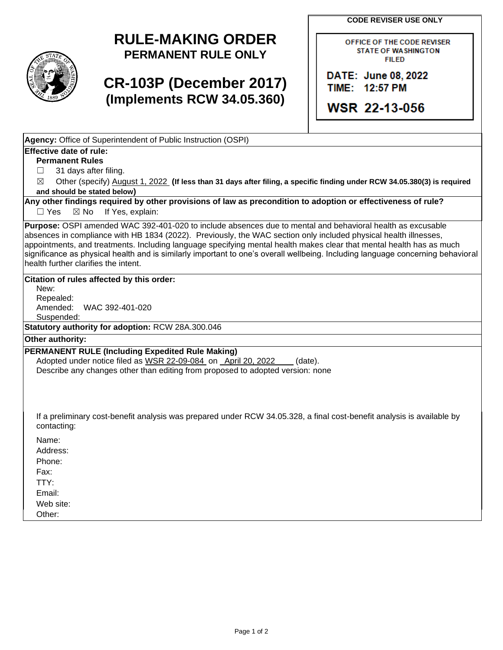**CODE REVISER USE ONLY** 

## **RULE-MAKING ORDER PERMANENT RULE ONLY**

# **CR-103P (December 2017) (Implements RCW 34.05.360)**

OFFICE OF THE CODE REVISER **STATE OF WASHINGTON FILED** 

DATE: June 08, 2022 TIME: 12:57 PM

**WSR 22-13-056** 

**Agency:** Office of Superintendent of Public Instruction (OSPI)

## **Effective date of rule:**

**Permanent Rules** 

 $\Box$ 31 days after filing.

 $\boxtimes$ Other (specify) August 1, 2022 (If less than 31 days after filing, a specific finding under RCW 34.05.380(3) is required **and should be stated below)** 

 $\Box$  Yes **Any other findings required by other provisions of law as precondition to adoption or effectiveness of rule?**   $\boxtimes$  No If Yes, explain:

 absences in compliance with HB 1834 (2022). Previously, the WAC section only included physical health illnesses, **Purpose:** OSPI amended WAC 392-401-020 to include absences due to mental and behavioral health as excusable appointments, and treatments. Including language specifying mental health makes clear that mental health has as much significance as physical health and is similarly important to one's overall wellbeing. Including language concerning behavioral health further clarifies the intent.

#### **Citation of rules affected by this order:**

New: Repealed: Amended: WAC 392-401-020 Suspended:

**Statutory authority for adoption:** RCW 28A.300.046

#### **Other authority:**

### **PERMANENT RULE (Including Expedited Rule Making)**

Adopted under notice filed as WSR 22-09-084 on April 20, 2022 (date). Describe any changes other than editing from proposed to adopted version: none

If a preliminary cost-benefit analysis was prepared under RCW 34.05.328, a final cost-benefit analysis is available by contacting:

Name:

Address:

Phone:

Fax:

TTY: Email:

Web site:

Other: